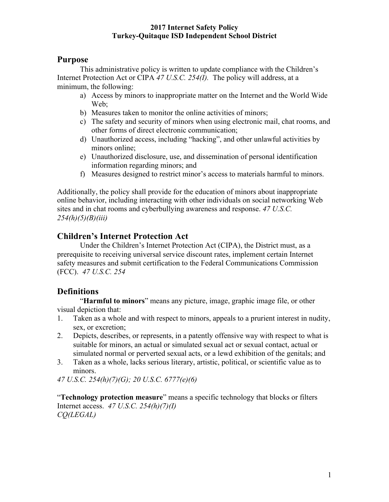# **Purpose**

This administrative policy is written to update compliance with the Children's Internet Protection Act or CIPA *47 U.S.C. 254(I).* The policy will address, at a minimum, the following:

- a) Access by minors to inappropriate matter on the Internet and the World Wide We<sub>b</sub>:
- b) Measures taken to monitor the online activities of minors;
- c) The safety and security of minors when using electronic mail, chat rooms, and other forms of direct electronic communication;
- d) Unauthorized access, including "hacking", and other unlawful activities by minors online;
- e) Unauthorized disclosure, use, and dissemination of personal identification information regarding minors; and
- f) Measures designed to restrict minor's access to materials harmful to minors.

Additionally, the policy shall provide for the education of minors about inappropriate online behavior, including interacting with other individuals on social networking Web sites and in chat rooms and cyberbullying awareness and response. *47 U.S.C. 254(h)(5)(B)(iii)*

# **Children's Internet Protection Act**

Under the Children's Internet Protection Act (CIPA), the District must, as a prerequisite to receiving universal service discount rates, implement certain Internet safety measures and submit certification to the Federal Communications Commission (FCC). *47 U.S.C. 254*

# **Definitions**

"**Harmful to minors**" means any picture, image, graphic image file, or other visual depiction that:

- 1. Taken as a whole and with respect to minors, appeals to a prurient interest in nudity, sex, or excretion;
- 2. Depicts, describes, or represents, in a patently offensive way with respect to what is suitable for minors, an actual or simulated sexual act or sexual contact, actual or simulated normal or perverted sexual acts, or a lewd exhibition of the genitals; and
- 3. Taken as a whole, lacks serious literary, artistic, political, or scientific value as to minors.

*47 U.S.C. 254(h)(7)(G); 20 U.S.C. 6777(e)(6)*

"**Technology protection measure**" means a specific technology that blocks or filters Internet access. *47 U.S.C. 254(h)(7)(I) CQ(LEGAL)*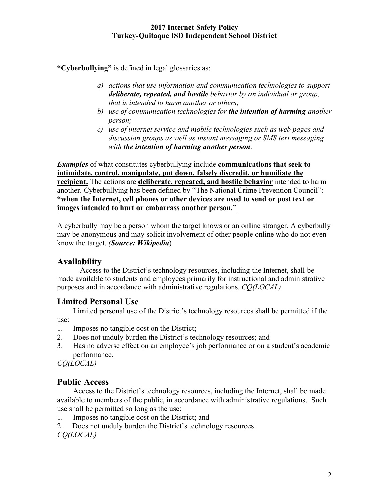**"Cyberbullying"** is defined in legal glossaries as:

- *a) actions that use information and communication technologies to support deliberate, repeated, and hostile behavior by an individual or group, that is intended to harm another or others;*
- *b) use of communication technologies for the intention of harming another person;*
- *c) use of internet service and mobile technologies such as web pages and discussion groups as well as instant messaging or SMS text messaging with the intention of harming another person.*

*Examples* of what constitutes cyberbullying include **communications that seek to intimidate, control, manipulate, put down, falsely discredit, or humiliate the recipient.** The actions are **deliberate, repeated, and hostile behavior** intended to harm another. Cyberbullying has been defined by "The National Crime Prevention Council": **"when the Internet, cell phones or other devices are used to send or post text or images intended to hurt or embarrass another person."**

A cyberbully may be a person whom the target knows or an online stranger. A cyberbully may be anonymous and may solicit involvement of other people online who do not even know the target. *(Source: Wikipedia*)

## **Availability**

Access to the District's technology resources, including the Internet, shall be made available to students and employees primarily for instructional and administrative purposes and in accordance with administrative regulations. *CQ(LOCAL)*

# **Limited Personal Use**

Limited personal use of the District's technology resources shall be permitted if the

use:

- 1. Imposes no tangible cost on the District;
- 2. Does not unduly burden the District's technology resources; and
- 3. Has no adverse effect on an employee's job performance or on a student's academic performance.

*CQ(LOCAL)*

## **Public Access**

Access to the District's technology resources, including the Internet, shall be made available to members of the public, in accordance with administrative regulations. Such use shall be permitted so long as the use:

- 1. Imposes no tangible cost on the District; and
- 2. Does not unduly burden the District's technology resources.

*CQ(LOCAL)*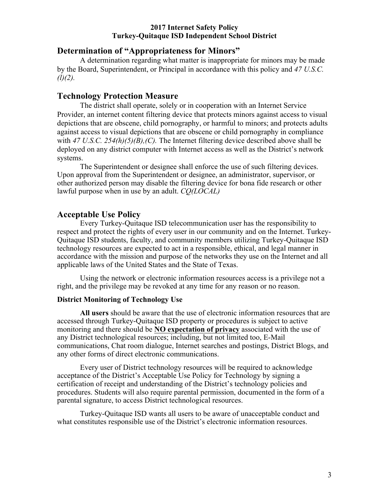#### **Determination of "Appropriateness for Minors"**

A determination regarding what matter is inappropriate for minors may be made by the Board, Superintendent, or Principal in accordance with this policy and *47 U.S.C. (l)(2).*

### **Technology Protection Measure**

The district shall operate, solely or in cooperation with an Internet Service Provider, an internet content filtering device that protects minors against access to visual depictions that are obscene, child pornography, or harmful to minors; and protects adults against access to visual depictions that are obscene or child pornography in compliance with 47 U.S.C. 254(h)(5)(B),(C). The Internet filtering device described above shall be deployed on any district computer with Internet access as well as the District's network systems.

The Superintendent or designee shall enforce the use of such filtering devices. Upon approval from the Superintendent or designee, an administrator, supervisor, or other authorized person may disable the filtering device for bona fide research or other lawful purpose when in use by an adult. *CQ(LOCAL)*

### **Acceptable Use Policy**

Every Turkey-Quitaque ISD telecommunication user has the responsibility to respect and protect the rights of every user in our community and on the Internet. Turkey-Quitaque ISD students, faculty, and community members utilizing Turkey-Quitaque ISD technology resources are expected to act in a responsible, ethical, and legal manner in accordance with the mission and purpose of the networks they use on the Internet and all applicable laws of the United States and the State of Texas.

Using the network or electronic information resources access is a privilege not a right, and the privilege may be revoked at any time for any reason or no reason.

#### **District Monitoring of Technology Use**

**All users** should be aware that the use of electronic information resources that are accessed through Turkey-Quitaque ISD property or procedures is subject to active monitoring and there should be **NO expectation of privacy** associated with the use of any District technological resources; including, but not limited too, E-Mail communications, Chat room dialogue, Internet searches and postings, District Blogs, and any other forms of direct electronic communications.

Every user of District technology resources will be required to acknowledge acceptance of the District's Acceptable Use Policy for Technology by signing a certification of receipt and understanding of the District's technology policies and procedures. Students will also require parental permission, documented in the form of a parental signature, to access District technological resources.

Turkey-Quitaque ISD wants all users to be aware of unacceptable conduct and what constitutes responsible use of the District's electronic information resources.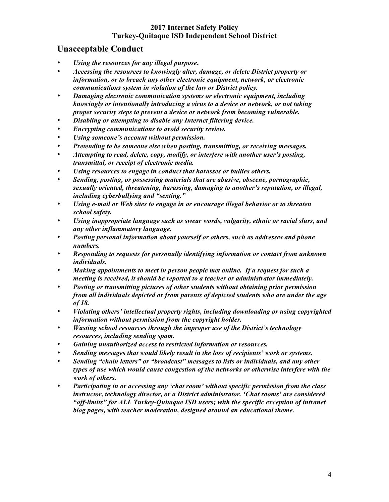### **Unacceptable Conduct**

- *Using the resources for any illegal purpose***.**
- *Accessing the resources to knowingly alter, damage, or delete District property or information, or to breach any other electronic equipment, network, or electronic communications system in violation of the law or District policy.*
- *Damaging electronic communication systems or electronic equipment, including knowingly or intentionally introducing a virus to a device or network, or not taking proper security steps to prevent a device or network from becoming vulnerable.*
- *Disabling or attempting to disable any Internet filtering device.*
- *Encrypting communications to avoid security review.*
- *Using someone's account without permission.*
- *Pretending to be someone else when posting, transmitting, or receiving messages.*
- *Attempting to read, delete, copy, modify, or interfere with another user's posting, transmittal, or receipt of electronic media.*
- *Using resources to engage in conduct that harasses or bullies others.*
- *Sending, posting, or possessing materials that are abusive, obscene, pornographic, sexually oriented, threatening, harassing, damaging to another's reputation, or illegal, including cyberbullying and "sexting."*
- *Using e-mail or Web sites to engage in or encourage illegal behavior or to threaten school safety.*
- *Using inappropriate language such as swear words, vulgarity, ethnic or racial slurs, and any other inflammatory language.*
- *Posting personal information about yourself or others, such as addresses and phone numbers.*
- *Responding to requests for personally identifying information or contact from unknown individuals.*
- *Making appointments to meet in person people met online. If a request for such a meeting is received, it should be reported to a teacher or administrator immediately.*
- *Posting or transmitting pictures of other students without obtaining prior permission from all individuals depicted or from parents of depicted students who are under the age of 18.*
- *Violating others' intellectual property rights, including downloading or using copyrighted information without permission from the copyright holder.*
- *Wasting school resources through the improper use of the District's technology resources, including sending spam.*
- *Gaining unauthorized access to restricted information or resources.*
- *Sending messages that would likely result in the loss of recipients' work or systems.*
- *Sending "chain letters" or "broadcast" messages to lists or individuals, and any other types of use which would cause congestion of the networks or otherwise interfere with the work of others.*
- *Participating in or accessing any 'chat room' without specific permission from the class instructor, technology director, or a District administrator. 'Chat rooms' are considered "off-limits" for ALL Turkey-Quitaque ISD users; with the specific exception of intranet blog pages, with teacher moderation, designed around an educational theme.*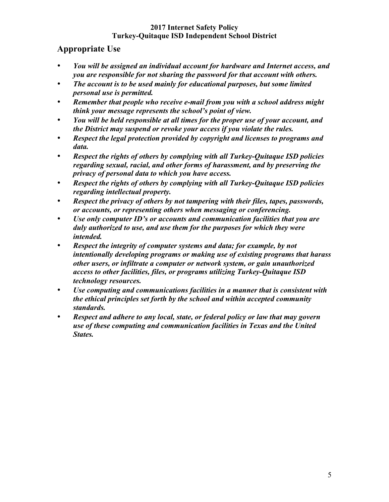# **Appropriate Use**

- *You will be assigned an individual account for hardware and Internet access, and you are responsible for not sharing the password for that account with others.*
- *The account is to be used mainly for educational purposes, but some limited personal use is permitted.*
- *Remember that people who receive e-mail from you with a school address might think your message represents the school's point of view.*
- *You will be held responsible at all times for the proper use of your account, and the District may suspend or revoke your access if you violate the rules.*
- *Respect the legal protection provided by copyright and licenses to programs and data.*
- *Respect the rights of others by complying with all Turkey-Quitaque ISD policies regarding sexual, racial, and other forms of harassment, and by preserving the privacy of personal data to which you have access.*
- *Respect the rights of others by complying with all Turkey-Quitaque ISD policies regarding intellectual property.*
- *Respect the privacy of others by not tampering with their files, tapes, passwords, or accounts, or representing others when messaging or conferencing.*
- *Use only computer ID's or accounts and communication facilities that you are duly authorized to use, and use them for the purposes for which they were intended.*
- *Respect the integrity of computer systems and data; for example, by not intentionally developing programs or making use of existing programs that harass other users, or infiltrate a computer or network system, or gain unauthorized access to other facilities, files, or programs utilizing Turkey-Quitaque ISD technology resources.*
- *Use computing and communications facilities in a manner that is consistent with the ethical principles set forth by the school and within accepted community standards.*
- *Respect and adhere to any local, state, or federal policy or law that may govern use of these computing and communication facilities in Texas and the United States.*